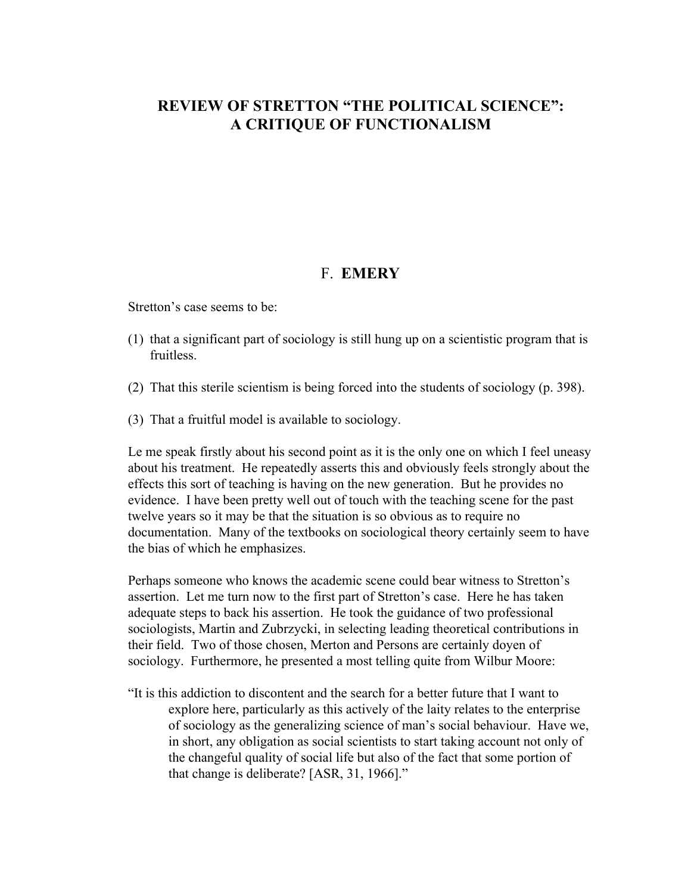## **REVIEW OF STRETTON "THE POLITICAL SCIENCE": A CRITIQUE OF FUNCTIONALISM**

## F. **EMERY**

Stretton's case seems to be:

- (1) that a significant part of sociology is still hung up on a scientistic program that is fruitless.
- (2) That this sterile scientism is being forced into the students of sociology (p. 398).
- (3) That a fruitful model is available to sociology.

Le me speak firstly about his second point as it is the only one on which I feel uneasy about his treatment. He repeatedly asserts this and obviously feels strongly about the effects this sort of teaching is having on the new generation. But he provides no evidence. I have been pretty well out of touch with the teaching scene for the past twelve years so it may be that the situation is so obvious as to require no documentation. Many of the textbooks on sociological theory certainly seem to have the bias of which he emphasizes.

Perhaps someone who knows the academic scene could bear witness to Stretton's assertion. Let me turn now to the first part of Stretton's case. Here he has taken adequate steps to back his assertion. He took the guidance of two professional sociologists, Martin and Zubrzycki, in selecting leading theoretical contributions in their field. Two of those chosen, Merton and Persons are certainly doyen of sociology. Furthermore, he presented a most telling quite from Wilbur Moore:

"It is this addiction to discontent and the search for a better future that I want to explore here, particularly as this actively of the laity relates to the enterprise of sociology as the generalizing science of man's social behaviour. Have we, in short, any obligation as social scientists to start taking account not only of the changeful quality of social life but also of the fact that some portion of that change is deliberate? [ASR, 31, 1966]."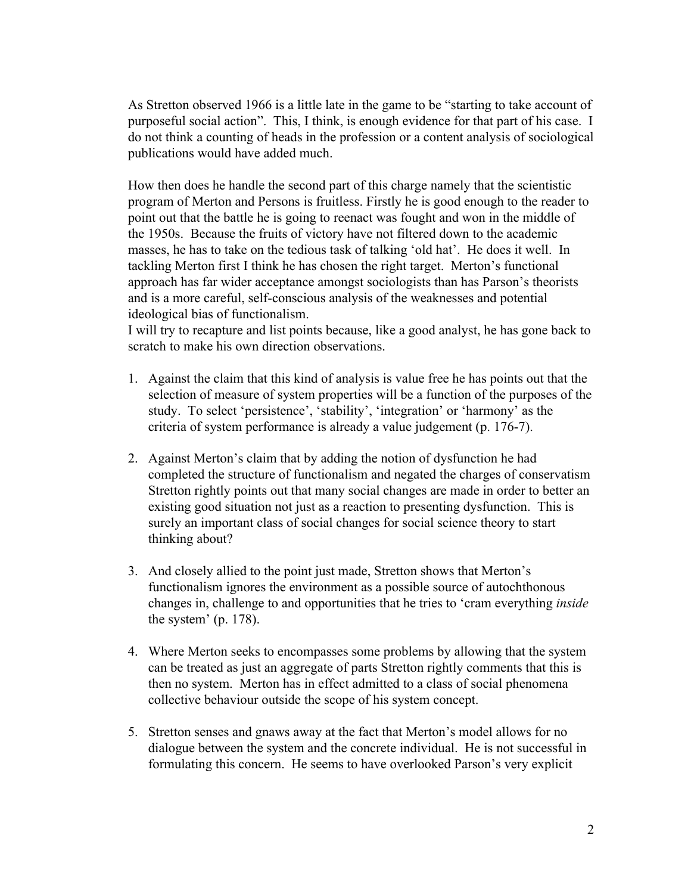As Stretton observed 1966 is a little late in the game to be "starting to take account of purposeful social action". This, I think, is enough evidence for that part of his case. I do not think a counting of heads in the profession or a content analysis of sociological publications would have added much.

How then does he handle the second part of this charge namely that the scientistic program of Merton and Persons is fruitless. Firstly he is good enough to the reader to point out that the battle he is going to reenact was fought and won in the middle of the 1950s. Because the fruits of victory have not filtered down to the academic masses, he has to take on the tedious task of talking 'old hat'. He does it well. In tackling Merton first I think he has chosen the right target. Merton's functional approach has far wider acceptance amongst sociologists than has Parson's theorists and is a more careful, self-conscious analysis of the weaknesses and potential ideological bias of functionalism.

I will try to recapture and list points because, like a good analyst, he has gone back to scratch to make his own direction observations.

- 1. Against the claim that this kind of analysis is value free he has points out that the selection of measure of system properties will be a function of the purposes of the study. To select 'persistence', 'stability', 'integration' or 'harmony' as the criteria of system performance is already a value judgement (p. 176-7).
- 2. Against Merton's claim that by adding the notion of dysfunction he had completed the structure of functionalism and negated the charges of conservatism Stretton rightly points out that many social changes are made in order to better an existing good situation not just as a reaction to presenting dysfunction. This is surely an important class of social changes for social science theory to start thinking about?
- 3. And closely allied to the point just made, Stretton shows that Merton's functionalism ignores the environment as a possible source of autochthonous changes in, challenge to and opportunities that he tries to 'cram everything *inside* the system' (p. 178).
- 4. Where Merton seeks to encompasses some problems by allowing that the system can be treated as just an aggregate of parts Stretton rightly comments that this is then no system. Merton has in effect admitted to a class of social phenomena collective behaviour outside the scope of his system concept.
- 5. Stretton senses and gnaws away at the fact that Merton's model allows for no dialogue between the system and the concrete individual. He is not successful in formulating this concern. He seems to have overlooked Parson's very explicit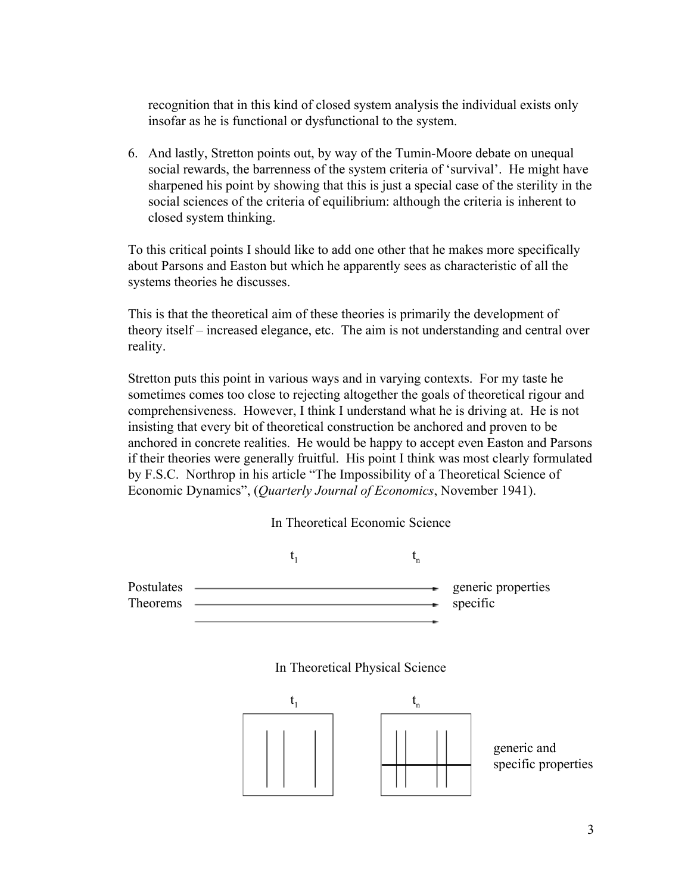recognition that in this kind of closed system analysis the individual exists only insofar as he is functional or dysfunctional to the system.

6. And lastly, Stretton points out, by way of the Tumin-Moore debate on unequal social rewards, the barrenness of the system criteria of 'survival'. He might have sharpened his point by showing that this is just a special case of the sterility in the social sciences of the criteria of equilibrium: although the criteria is inherent to closed system thinking.

To this critical points I should like to add one other that he makes more specifically about Parsons and Easton but which he apparently sees as characteristic of all the systems theories he discusses.

This is that the theoretical aim of these theories is primarily the development of theory itself – increased elegance, etc. The aim is not understanding and central over reality.

Stretton puts this point in various ways and in varying contexts. For my taste he sometimes comes too close to rejecting altogether the goals of theoretical rigour and comprehensiveness. However, I think I understand what he is driving at. He is not insisting that every bit of theoretical construction be anchored and proven to be anchored in concrete realities. He would be happy to accept even Easton and Parsons if their theories were generally fruitful. His point I think was most clearly formulated by F.S.C. Northrop in his article "The Impossibility of a Theoretical Science of Economic Dynamics", (*Quarterly Journal of Economics*, November 1941).





## In Theoretical Physical Science

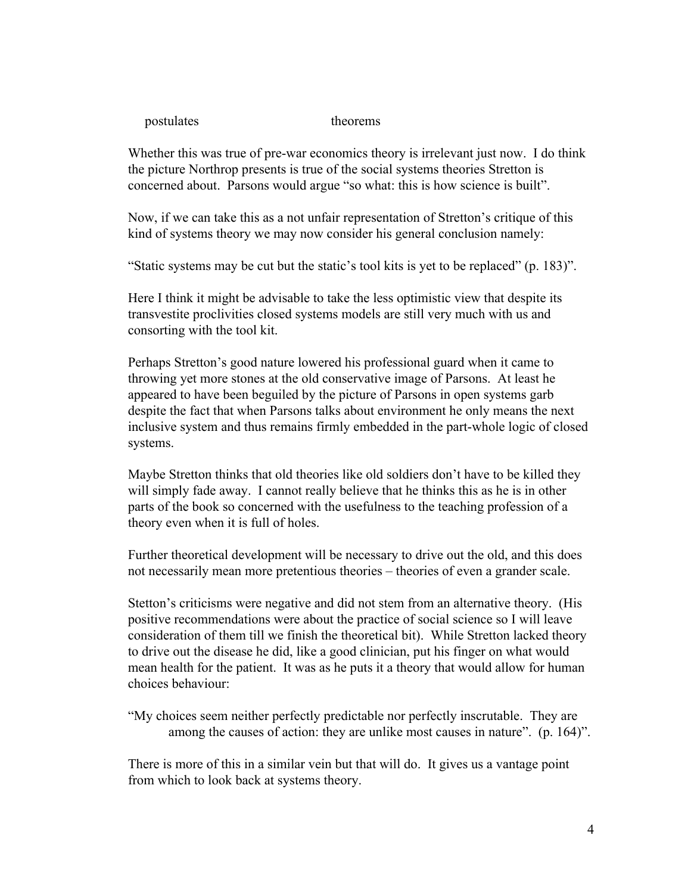postulates theorems

Whether this was true of pre-war economics theory is irrelevant just now. I do think the picture Northrop presents is true of the social systems theories Stretton is concerned about. Parsons would argue "so what: this is how science is built".

Now, if we can take this as a not unfair representation of Stretton's critique of this kind of systems theory we may now consider his general conclusion namely:

"Static systems may be cut but the static's tool kits is yet to be replaced" (p. 183)".

Here I think it might be advisable to take the less optimistic view that despite its transvestite proclivities closed systems models are still very much with us and consorting with the tool kit.

Perhaps Stretton's good nature lowered his professional guard when it came to throwing yet more stones at the old conservative image of Parsons. At least he appeared to have been beguiled by the picture of Parsons in open systems garb despite the fact that when Parsons talks about environment he only means the next inclusive system and thus remains firmly embedded in the part-whole logic of closed systems.

Maybe Stretton thinks that old theories like old soldiers don't have to be killed they will simply fade away. I cannot really believe that he thinks this as he is in other parts of the book so concerned with the usefulness to the teaching profession of a theory even when it is full of holes.

Further theoretical development will be necessary to drive out the old, and this does not necessarily mean more pretentious theories – theories of even a grander scale.

Stetton's criticisms were negative and did not stem from an alternative theory. (His positive recommendations were about the practice of social science so I will leave consideration of them till we finish the theoretical bit). While Stretton lacked theory to drive out the disease he did, like a good clinician, put his finger on what would mean health for the patient. It was as he puts it a theory that would allow for human choices behaviour:

"My choices seem neither perfectly predictable nor perfectly inscrutable. They are among the causes of action: they are unlike most causes in nature". (p. 164)".

There is more of this in a similar vein but that will do. It gives us a vantage point from which to look back at systems theory.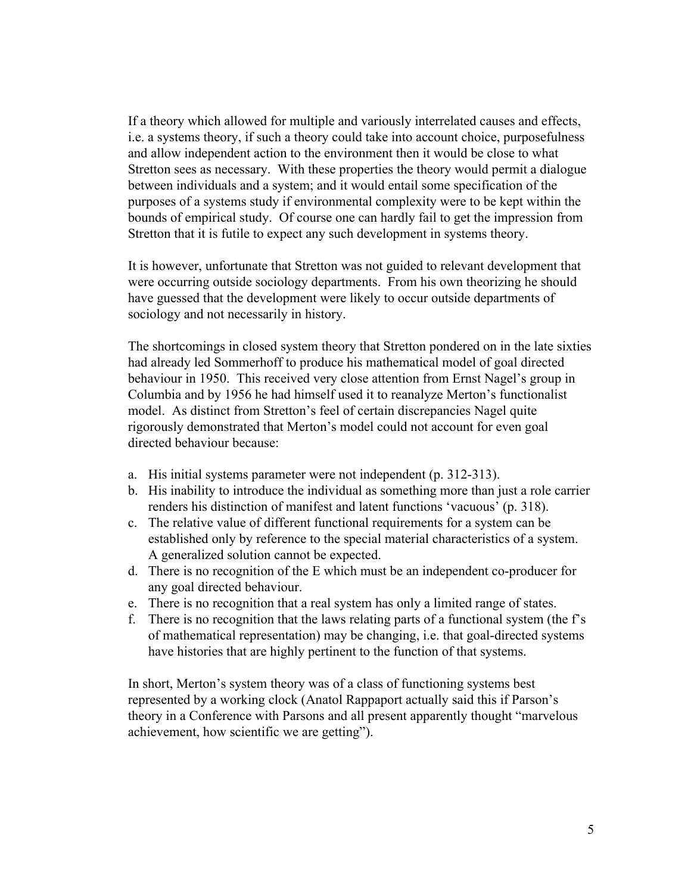If a theory which allowed for multiple and variously interrelated causes and effects, i.e. a systems theory, if such a theory could take into account choice, purposefulness and allow independent action to the environment then it would be close to what Stretton sees as necessary. With these properties the theory would permit a dialogue between individuals and a system; and it would entail some specification of the purposes of a systems study if environmental complexity were to be kept within the bounds of empirical study. Of course one can hardly fail to get the impression from Stretton that it is futile to expect any such development in systems theory.

It is however, unfortunate that Stretton was not guided to relevant development that were occurring outside sociology departments. From his own theorizing he should have guessed that the development were likely to occur outside departments of sociology and not necessarily in history.

The shortcomings in closed system theory that Stretton pondered on in the late sixties had already led Sommerhoff to produce his mathematical model of goal directed behaviour in 1950. This received very close attention from Ernst Nagel's group in Columbia and by 1956 he had himself used it to reanalyze Merton's functionalist model. As distinct from Stretton's feel of certain discrepancies Nagel quite rigorously demonstrated that Merton's model could not account for even goal directed behaviour because:

- a. His initial systems parameter were not independent (p. 312-313).
- b. His inability to introduce the individual as something more than just a role carrier renders his distinction of manifest and latent functions 'vacuous' (p. 318).
- c. The relative value of different functional requirements for a system can be established only by reference to the special material characteristics of a system. A generalized solution cannot be expected.
- d. There is no recognition of the E which must be an independent co-producer for any goal directed behaviour.
- e. There is no recognition that a real system has only a limited range of states.
- f. There is no recognition that the laws relating parts of a functional system (the f's of mathematical representation) may be changing, i.e. that goal-directed systems have histories that are highly pertinent to the function of that systems.

In short, Merton's system theory was of a class of functioning systems best represented by a working clock (Anatol Rappaport actually said this if Parson's theory in a Conference with Parsons and all present apparently thought "marvelous achievement, how scientific we are getting").